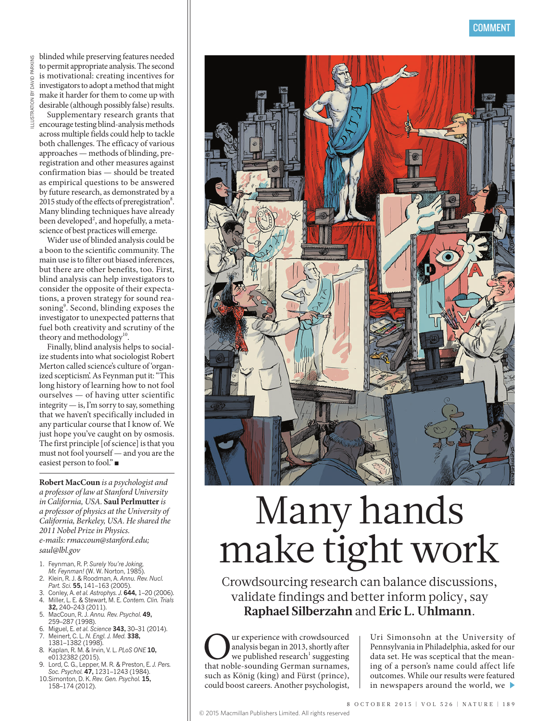blinded while preserving features needed to permit appropriate analysis. The second is motivational: creating incentives for investigators to adopt a method that might make it harder for them to come up with desirable (although possibly false) results.

Supplementary research grants that encourage testing blind-analysis methods across multiple fields could help to tackle both challenges. The efficacy of various approaches — methods of blinding, preregistration and other measures against confirmation bias — should be treated as empirical questions to be answered by future research, as demonstrated by a 2015 study of the effects of preregistration<sup>8</sup>. Many blinding techniques have already been developed $^2$ , and hopefully, a metascience of best practices will emerge.

Wider use of blinded analysis could be a boon to the scientific community. The main use is to filter out biased inferences, but there are other benefits, too. First, blind analysis can help investigators to consider the opposite of their expectations, a proven strategy for sound reasoning<sup>9</sup>. Second, blinding exposes the investigator to unexpected patterns that fuel both creativity and scrutiny of the theory and methodology<sup>10</sup>.

Finally, blind analysis helps to socialize students into what sociologist Robert Merton called science's culture of 'organized scepticism'. As Feynman put it: "This long history of learning how to not fool ourselves — of having utter scientific integrity — is, I'm sorry to say, something that we haven't specifically included in any particular course that I know of. We just hope you've caught on by osmosis. The first principle [of science] is that you must not fool yourself — and you are the easiest person to fool." ■

**Robert MacCoun** *is a psychologist and a professor of law at Stanford University in California, USA.* **Saul Perlmutter** *is a professor of physics at the University of California, Berkeley, USA. He shared the 2011 Nobel Prize in Physics. e-mails: rmaccoun@stanford.edu; saul@lbl.gov*

- 1. Feynman, R. P. *Surely You're Joking, Mr. Feynman!* (W. W. Norton, 1985).
- 2. Klein, R. J. & Roodman, A. *Annu. Rev. Nucl. Part. Sci.* **55,** 141–163 (2005).
- 3. Conley, A. *et al. Astrophys. J.* **644,** 1–20 (2006). 4. Miller, L. E. & Stewart, M. E. *Contem. Clin. Trials*
- **32,** 240–243 (2011). 5. MacCoun, R. J. *Annu. Rev. Psychol.* **49,**
- 259–287 (1998). 6. Miguel, E. *et al. Science* **343,** 30–31 (2014).
- 7. Meinert, C. L. *N. Engl. J. Med.* **338,** 1381–1382 (1998).
- 8. Kaplan, R. M. & Irvin, V. L. *PLoS ONE* **10,** e0132382 (2015).
- 9. Lord, C. G., Lepper, M. R. & Preston, E. *J. Pers. Soc. Psychol.* **47,** 1231–1243 (1984).
- 10.Simonton, D. K. *Rev. Gen. Psychol.* **15,** 158–174 (2012).



# Many hands make tight work

Crowdsourcing research can balance discussions, validate findings and better inform policy, say **Raphael Silberzahn** and **Eric L. Uhlmann**.

Our experience with crowdsourced<br>analysis began in 2013, shortly after<br>that noble-sounding German surnames, analysis began in 2013, shortly after we published research<sup>1</sup> suggesting such as König (king) and Fürst (prince), could boost careers. Another psychologist,

Uri Simonsohn at the University of Pennsylvania in Philadelphia, asked for our data set. He was sceptical that the meaning of a person's name could affect life outcomes. While our results were featured in newspapers around the world, we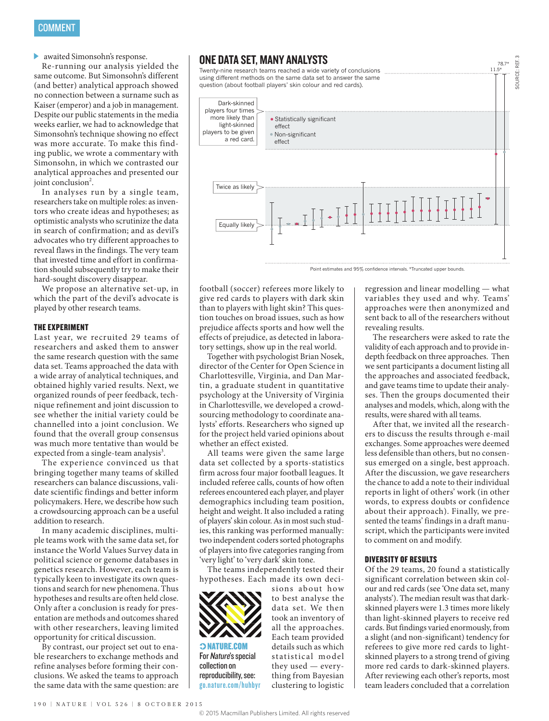awaited Simonsohn's response.

Re-running our analysis yielded the same outcome. But Simonsohn's different (and better) analytical approach showed no connection between a surname such as Kaiser (emperor) and a job in management. Despite our public statements in the media weeks earlier, we had to acknowledge that Simonsohn's technique showing no effect was more accurate. To make this finding public, we wrote a commentary with Simonsohn, in which we contrasted our analytical approaches and presented our joint conclusion<sup>2</sup>.

In analyses run by a single team, researchers take on multiple roles: as inventors who create ideas and hypotheses; as optimistic analysts who scrutinize the data in search of confirmation; and as devil's advocates who try different approaches to reveal flaws in the findings. The very team that invested time and effort in confirmation should subsequently try to make their hard-sought discovery disappear.

We propose an alternative set-up, in which the part of the devil's advocate is played by other research teams.

# THE EXPERIMENT

Last year, we recruited 29 teams of researchers and asked them to answer the same research question with the same data set. Teams approached the data with a wide array of analytical techniques, and obtained highly varied results. Next, we organized rounds of peer feedback, technique refinement and joint discussion to see whether the initial variety could be channelled into a joint conclusion. We found that the overall group consensus was much more tentative than would be expected from a single-team analysis<sup>3</sup>.

The experience convinced us that bringing together many teams of skilled researchers can balance discussions, validate scientific findings and better inform policymakers. Here, we describe how such a crowdsourcing approach can be a useful addition to research.

In many academic disciplines, multiple teams work with the same data set, for instance the World Values Survey data in political science or genome databases in genetics research. However, each team is typically keen to investigate its own questions and search for new phenomena. Thus hypotheses and results are often held close. Only after a conclusion is ready for presentation are methods and outcomes shared with other researchers, leaving limited opportunity for critical discussion.

By contrast, our project set out to enable researchers to exchange methods and refine analyses before forming their conclusions. We asked the teams to approach the same data with the same question: are

# ONE DATA SET, MANY ANALYSTS

Twenty-nine research teams reached a wide variety of conclusions using different methods on the same data set to answer the same question (about football players' skin colour and red cards).



Point estimates and 95% confidence intervals. \*Truncated upper bounds

football (soccer) referees more likely to give red cards to players with dark skin than to players with light skin? This question touches on broad issues, such as how prejudice affects sports and how well the effects of prejudice, as detected in laboratory settings, show up in the real world.

Together with psychologist Brian Nosek, director of the Center for Open Science in Charlottesville, Virginia, and Dan Martin, a graduate student in quantitative psychology at the University of Virginia in Charlottesville, we developed a crowdsourcing methodology to coordinate analysts' efforts. Researchers who signed up for the project held varied opinions about whether an effect existed.

All teams were given the same large data set collected by a sports-statistics firm across four major football leagues. It included referee calls, counts of how often referees encountered each player, and player demographics including team position, height and weight. It also included a rating of players' skin colour. As in most such studies, this ranking was performed manually: two independent coders sorted photographs of players into five categories ranging from 'very light' to 'very dark' skin tone.

The teams independently tested their hypotheses. Each made its own deci-



**O NATURE.COM** For Nature's special collection on reproducibility, see: go.nature.com/huhbyr sions about how to best analyse the data set. We then took an inventory of all the approaches. Each team provided details such as which statistical model they used — everything from Bayesian clustering to logistic

regression and linear modelling — what variables they used and why. Teams' approaches were then anonymized and sent back to all of the researchers without revealing results.

11.5\* 78.7\* SOURCE: REF. 3

REF.

The researchers were asked to rate the validity of each approach and to provide indepth feedback on three approaches. Then we sent participants a document listing all the approaches and associated feedback, and gave teams time to update their analyses. Then the groups documented their analyses and models, which, along with the results, were shared with all teams.

After that, we invited all the researchers to discuss the results through e-mail exchanges. Some approaches were deemed less defensible than others, but no consensus emerged on a single, best approach. After the discussion, we gave researchers the chance to add a note to their individual reports in light of others' work (in other words, to express doubts or confidence about their approach). Finally, we presented the teams' findings in a draft manuscript, which the participants were invited to comment on and modify.

## DIVERSITY OF RESULTS

Of the 29 teams, 20 found a statistically significant correlation between skin colour and red cards (see 'One data set, many analysts'). The median result was that darkskinned players were 1.3 times more likely than light-skinned players to receive red cards. But findings varied enormously, from a slight (and non-significant) tendency for referees to give more red cards to lightskinned players to a strong trend of giving more red cards to dark-skinned players. After reviewing each other's reports, most team leaders concluded that a correlation